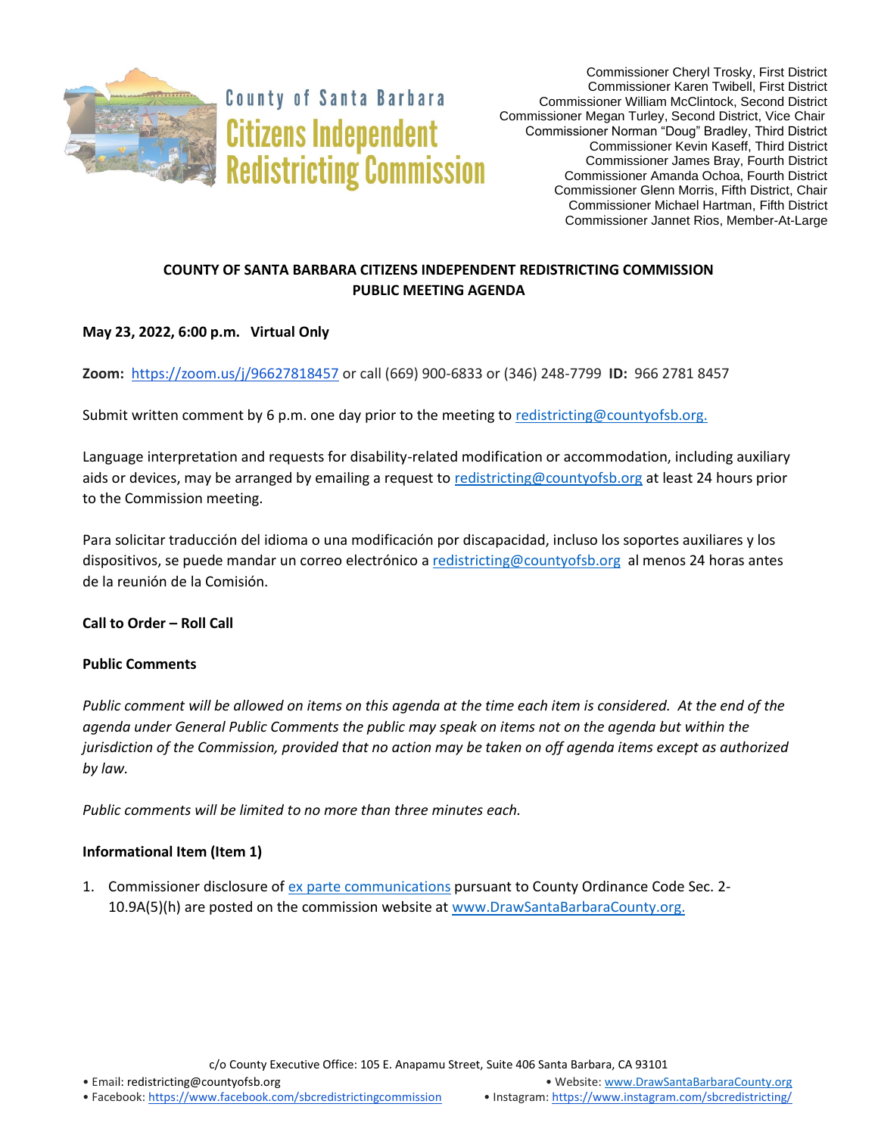

**County of Santa Barbara Citizens Independent Redistricting Commission** 

# **COUNTY OF SANTA BARBARA CITIZENS INDEPENDENT REDISTRICTING COMMISSION PUBLIC MEETING AGENDA**

## **May 23, 2022, 6:00 p.m. Virtual Only**

**Zoom:** <https://zoom.us/j/96627818457> or call (669) 900-6833 or (346) 248-7799 **ID:** 966 2781 8457

Submit written comment by 6 p.m. one day prior to the meeting t[o redistricting@countyofsb.org.](mailto:redistricting@countyofsb.org)

Language interpretation and requests for disability-related modification or accommodation, including auxiliary aids or devices, may be arranged by emailing a request to [redistricting@countyofsb.org](mailto:redistricting@countyofsb.org) at least 24 hours prior to the Commission meeting.

Para solicitar traducción del idioma o una modificación por discapacidad, incluso los soportes auxiliares y los dispositivos, se puede mandar un correo electrónico [a redistricting@countyofsb.org](mailto:redistricting@countyofsb.org) al menos 24 horas antes de la reunión de la Comisión.

**Call to Order – Roll Call**

## **Public Comments**

*Public comment will be allowed on items on this agenda at the time each item is considered. At the end of the agenda under General Public Comments the public may speak on items not on the agenda but within the jurisdiction of the Commission, provided that no action may be taken on off agenda items except as authorized by law.* 

*Public comments will be limited to no more than three minutes each.*

## **Informational Item (Item 1)**

1. Commissioner disclosure of [ex parte communications](https://docs.google.com/spreadsheets/d/1zGO1NmeO_y9ohV2vMMFAtu6b3rVpIXViVtRool9dmBg/edit?usp=drive_web) pursuant to County Ordinance Code Sec. 2-10.9A(5)(h) are posted on the commission website at [www.DrawSantaBarbaraCounty.org.](https://drawsantabarbaracounty.org/)

c/o County Executive Office: 105 E. Anapamu Street, Suite 406 Santa Barbara, CA 93101

• Email[: redistricting@countyofsb.org](mailto:redistricting@countyofsb.org) • Website: [www.DrawSantaBarbaraCounty.org](http://www.drawsantabarbaracounty.org/)